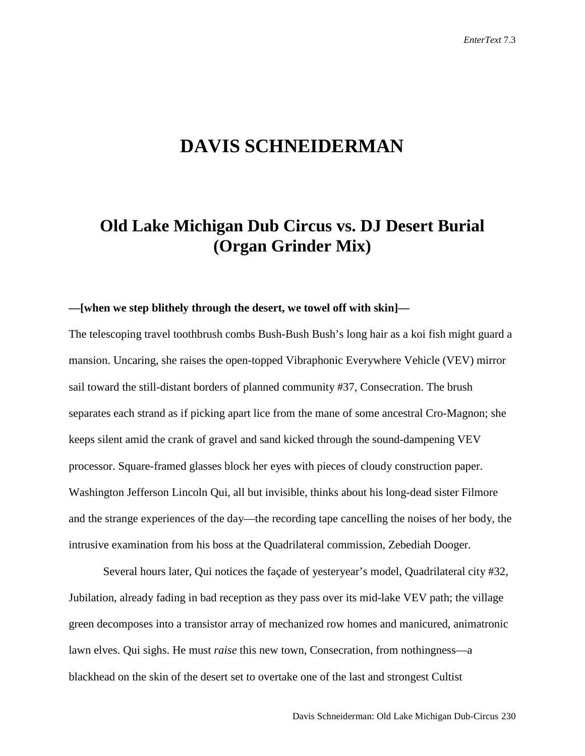# **DAVIS SCHNEIDERMAN**

## **Old Lake Michigan Dub Circus vs. DJ Desert Burial (Organ Grinder Mix)**

## **—[when we step blithely through the desert, we towel off with skin]—**

The telescoping travel toothbrush combs Bush-Bush Bush's long hair as a koi fish might guard a mansion. Uncaring, she raises the open-topped Vibraphonic Everywhere Vehicle (VEV) mirror sail toward the still-distant borders of planned community #37, Consecration. The brush separates each strand as if picking apart lice from the mane of some ancestral Cro-Magnon; she keeps silent amid the crank of gravel and sand kicked through the sound-dampening VEV processor. Square-framed glasses block her eyes with pieces of cloudy construction paper. Washington Jefferson Lincoln Qui, all but invisible, thinks about his long-dead sister Filmore and the strange experiences of the day—the recording tape cancelling the noises of her body, the intrusive examination from his boss at the Quadrilateral commission, Zebediah Dooger.

Several hours later, Qui notices the façade of yesteryear's model, Quadrilateral city #32, Jubilation, already fading in bad reception as they pass over its mid-lake VEV path; the village green decomposes into a transistor array of mechanized row homes and manicured, animatronic lawn elves. Qui sighs. He must *raise* this new town, Consecration, from nothingness—a blackhead on the skin of the desert set to overtake one of the last and strongest Cultist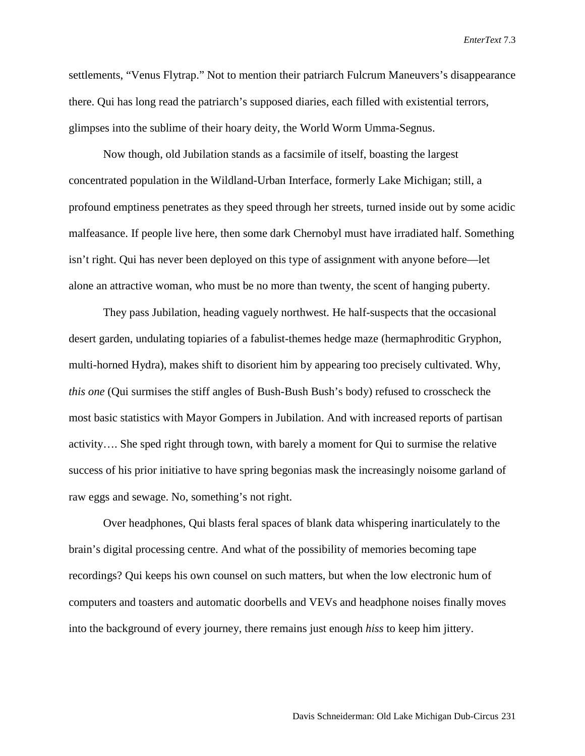settlements, "Venus Flytrap." Not to mention their patriarch Fulcrum Maneuvers's disappearance there. Qui has long read the patriarch's supposed diaries, each filled with existential terrors, glimpses into the sublime of their hoary deity, the World Worm Umma-Segnus.

Now though, old Jubilation stands as a facsimile of itself, boasting the largest concentrated population in the Wildland-Urban Interface, formerly Lake Michigan; still, a profound emptiness penetrates as they speed through her streets, turned inside out by some acidic malfeasance. If people live here, then some dark Chernobyl must have irradiated half. Something isn't right. Qui has never been deployed on this type of assignment with anyone before—let alone an attractive woman, who must be no more than twenty, the scent of hanging puberty.

They pass Jubilation, heading vaguely northwest. He half-suspects that the occasional desert garden, undulating topiaries of a fabulist-themes hedge maze (hermaphroditic Gryphon, multi-horned Hydra), makes shift to disorient him by appearing too precisely cultivated. Why, *this one* (Qui surmises the stiff angles of Bush-Bush Bush's body) refused to crosscheck the most basic statistics with Mayor Gompers in Jubilation. And with increased reports of partisan activity…. She sped right through town, with barely a moment for Qui to surmise the relative success of his prior initiative to have spring begonias mask the increasingly noisome garland of raw eggs and sewage. No, something's not right.

Over headphones, Qui blasts feral spaces of blank data whispering inarticulately to the brain's digital processing centre. And what of the possibility of memories becoming tape recordings? Qui keeps his own counsel on such matters, but when the low electronic hum of computers and toasters and automatic doorbells and VEVs and headphone noises finally moves into the background of every journey, there remains just enough *hiss* to keep him jittery.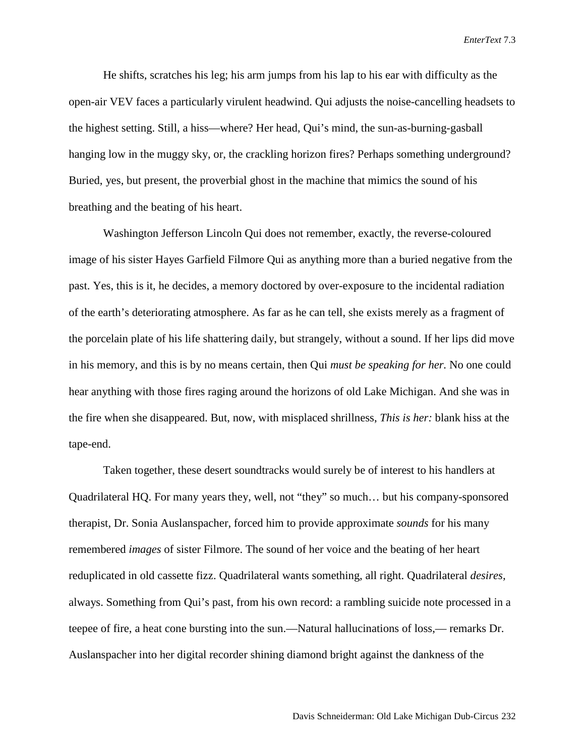He shifts, scratches his leg; his arm jumps from his lap to his ear with difficulty as the open-air VEV faces a particularly virulent headwind. Qui adjusts the noise-cancelling headsets to the highest setting. Still, a hiss—where? Her head, Qui's mind, the sun-as-burning-gasball hanging low in the muggy sky, or, the crackling horizon fires? Perhaps something underground? Buried, yes, but present, the proverbial ghost in the machine that mimics the sound of his breathing and the beating of his heart.

Washington Jefferson Lincoln Qui does not remember, exactly, the reverse-coloured image of his sister Hayes Garfield Filmore Qui as anything more than a buried negative from the past. Yes, this is it, he decides, a memory doctored by over-exposure to the incidental radiation of the earth's deteriorating atmosphere. As far as he can tell, she exists merely as a fragment of the porcelain plate of his life shattering daily, but strangely, without a sound. If her lips did move in his memory, and this is by no means certain, then Qui *must be speaking for her.* No one could hear anything with those fires raging around the horizons of old Lake Michigan. And she was in the fire when she disappeared. But, now, with misplaced shrillness, *This is her:* blank hiss at the tape-end.

Taken together, these desert soundtracks would surely be of interest to his handlers at Quadrilateral HQ. For many years they, well, not "they" so much… but his company-sponsored therapist, Dr. Sonia Auslanspacher, forced him to provide approximate *sounds* for his many remembered *images* of sister Filmore. The sound of her voice and the beating of her heart reduplicated in old cassette fizz. Quadrilateral wants something, all right. Quadrilateral *desires,* always. Something from Qui's past, from his own record: a rambling suicide note processed in a teepee of fire, a heat cone bursting into the sun.—Natural hallucinations of loss,— remarks Dr. Auslanspacher into her digital recorder shining diamond bright against the dankness of the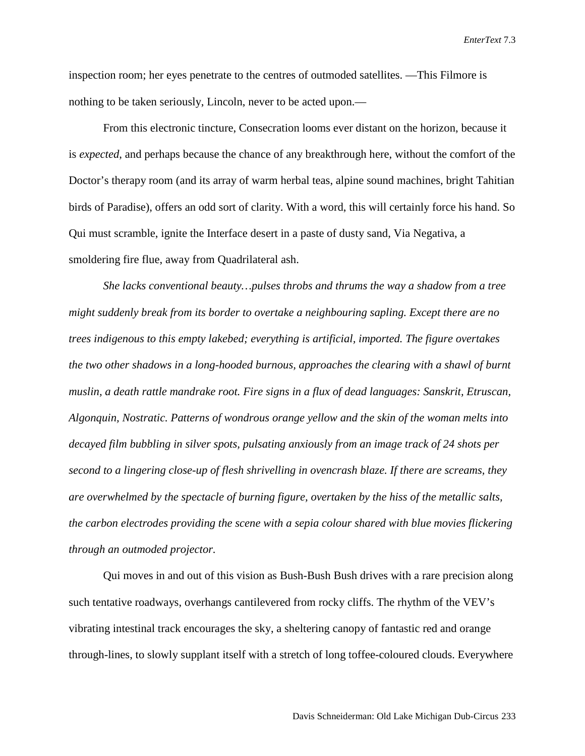inspection room; her eyes penetrate to the centres of outmoded satellites. —This Filmore is nothing to be taken seriously, Lincoln, never to be acted upon.—

From this electronic tincture, Consecration looms ever distant on the horizon, because it is *expected*, and perhaps because the chance of any breakthrough here, without the comfort of the Doctor's therapy room (and its array of warm herbal teas, alpine sound machines, bright Tahitian birds of Paradise), offers an odd sort of clarity. With a word, this will certainly force his hand. So Qui must scramble, ignite the Interface desert in a paste of dusty sand, Via Negativa, a smoldering fire flue, away from Quadrilateral ash.

*She lacks conventional beauty…pulses throbs and thrums the way a shadow from a tree might suddenly break from its border to overtake a neighbouring sapling. Except there are no trees indigenous to this empty lakebed; everything is artificial, imported. The figure overtakes the two other shadows in a long-hooded burnous, approaches the clearing with a shawl of burnt muslin, a death rattle mandrake root. Fire signs in a flux of dead languages: Sanskrit, Etruscan, Algonquin, Nostratic. Patterns of wondrous orange yellow and the skin of the woman melts into decayed film bubbling in silver spots, pulsating anxiously from an image track of 24 shots per second to a lingering close-up of flesh shrivelling in ovencrash blaze. If there are screams, they are overwhelmed by the spectacle of burning figure, overtaken by the hiss of the metallic salts, the carbon electrodes providing the scene with a sepia colour shared with blue movies flickering through an outmoded projector.*

Qui moves in and out of this vision as Bush-Bush Bush drives with a rare precision along such tentative roadways, overhangs cantilevered from rocky cliffs. The rhythm of the VEV's vibrating intestinal track encourages the sky, a sheltering canopy of fantastic red and orange through-lines, to slowly supplant itself with a stretch of long toffee-coloured clouds. Everywhere

Davis Schneiderman: Old Lake Michigan Dub-Circus 233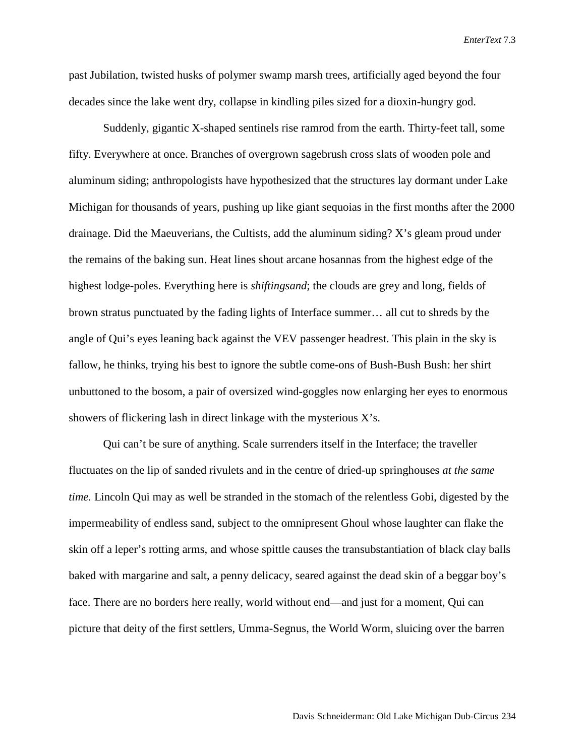past Jubilation, twisted husks of polymer swamp marsh trees, artificially aged beyond the four decades since the lake went dry, collapse in kindling piles sized for a dioxin-hungry god.

Suddenly, gigantic X-shaped sentinels rise ramrod from the earth. Thirty-feet tall, some fifty. Everywhere at once. Branches of overgrown sagebrush cross slats of wooden pole and aluminum siding; anthropologists have hypothesized that the structures lay dormant under Lake Michigan for thousands of years, pushing up like giant sequoias in the first months after the 2000 drainage. Did the Maeuverians, the Cultists, add the aluminum siding? X's gleam proud under the remains of the baking sun. Heat lines shout arcane hosannas from the highest edge of the highest lodge-poles. Everything here is *shiftingsand*; the clouds are grey and long, fields of brown stratus punctuated by the fading lights of Interface summer… all cut to shreds by the angle of Qui's eyes leaning back against the VEV passenger headrest. This plain in the sky is fallow, he thinks, trying his best to ignore the subtle come-ons of Bush-Bush Bush: her shirt unbuttoned to the bosom, a pair of oversized wind-goggles now enlarging her eyes to enormous showers of flickering lash in direct linkage with the mysterious X's.

Qui can't be sure of anything. Scale surrenders itself in the Interface; the traveller fluctuates on the lip of sanded rivulets and in the centre of dried-up springhouses *at the same time.* Lincoln Qui may as well be stranded in the stomach of the relentless Gobi, digested by the impermeability of endless sand, subject to the omnipresent Ghoul whose laughter can flake the skin off a leper's rotting arms, and whose spittle causes the transubstantiation of black clay balls baked with margarine and salt, a penny delicacy, seared against the dead skin of a beggar boy's face. There are no borders here really, world without end—and just for a moment, Qui can picture that deity of the first settlers, Umma-Segnus, the World Worm, sluicing over the barren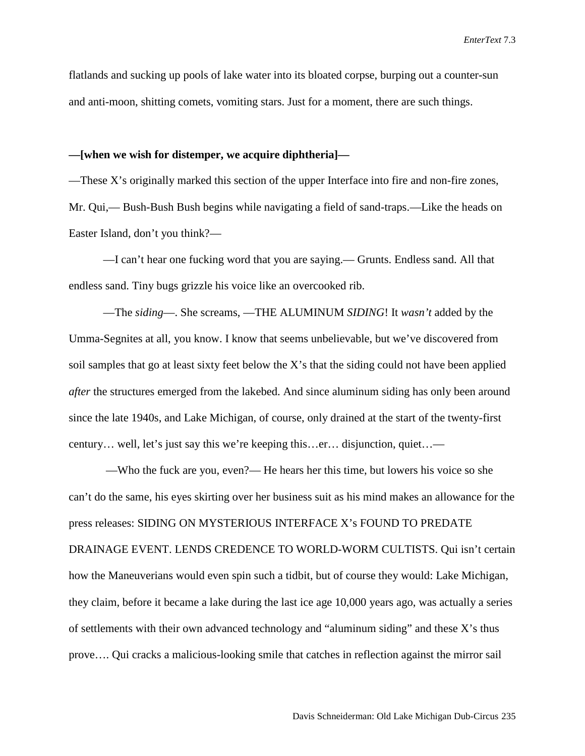flatlands and sucking up pools of lake water into its bloated corpse, burping out a counter-sun and anti-moon, shitting comets, vomiting stars. Just for a moment, there are such things.

#### **—[when we wish for distemper, we acquire diphtheria]—**

—These X's originally marked this section of the upper Interface into fire and non-fire zones, Mr. Qui,— Bush-Bush Bush begins while navigating a field of sand-traps.—Like the heads on Easter Island, don't you think?—

—I can't hear one fucking word that you are saying.— Grunts. Endless sand. All that endless sand. Tiny bugs grizzle his voice like an overcooked rib.

—The *siding*—. She screams, —THE ALUMINUM *SIDING*! It *wasn't* added by the Umma-Segnites at all, you know. I know that seems unbelievable, but we've discovered from soil samples that go at least sixty feet below the X's that the siding could not have been applied *after* the structures emerged from the lakebed. And since aluminum siding has only been around since the late 1940s, and Lake Michigan, of course, only drained at the start of the twenty-first century… well, let's just say this we're keeping this…er… disjunction, quiet…—

—Who the fuck are you, even?— He hears her this time, but lowers his voice so she can't do the same, his eyes skirting over her business suit as his mind makes an allowance for the press releases: SIDING ON MYSTERIOUS INTERFACE X's FOUND TO PREDATE DRAINAGE EVENT. LENDS CREDENCE TO WORLD-WORM CULTISTS. Qui isn't certain how the Maneuverians would even spin such a tidbit, but of course they would: Lake Michigan, they claim, before it became a lake during the last ice age 10,000 years ago, was actually a series of settlements with their own advanced technology and "aluminum siding" and these X's thus prove…. Qui cracks a malicious-looking smile that catches in reflection against the mirror sail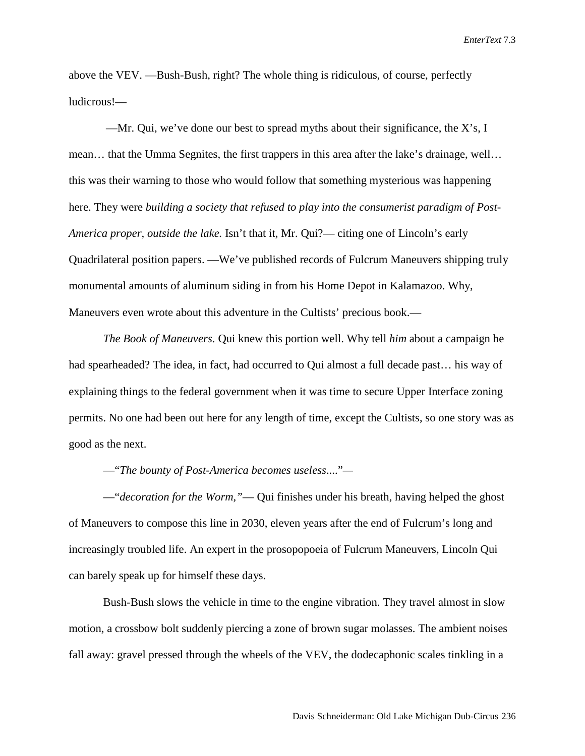above the VEV. —Bush-Bush, right? The whole thing is ridiculous, of course, perfectly ludicrous!—

—Mr. Qui, we've done our best to spread myths about their significance, the  $X$ 's, I mean… that the Umma Segnites, the first trappers in this area after the lake's drainage, well… this was their warning to those who would follow that something mysterious was happening here. They were *building a society that refused to play into the consumerist paradigm of Post-America proper, outside the lake.* Isn't that it, Mr. Qui?— citing one of Lincoln's early Quadrilateral position papers. —We've published records of Fulcrum Maneuvers shipping truly monumental amounts of aluminum siding in from his Home Depot in Kalamazoo. Why, Maneuvers even wrote about this adventure in the Cultists' precious book.—

*The Book of Maneuvers*. Qui knew this portion well. Why tell *him* about a campaign he had spearheaded? The idea, in fact, had occurred to Qui almost a full decade past... his way of explaining things to the federal government when it was time to secure Upper Interface zoning permits. No one had been out here for any length of time, except the Cultists, so one story was as good as the next.

—"*The bounty of Post-America becomes useless*...."*—*

—"*decoration for the Worm,"*— Qui finishes under his breath, having helped the ghost of Maneuvers to compose this line in 2030, eleven years after the end of Fulcrum's long and increasingly troubled life. An expert in the prosopopoeia of Fulcrum Maneuvers, Lincoln Qui can barely speak up for himself these days.

Bush-Bush slows the vehicle in time to the engine vibration. They travel almost in slow motion, a crossbow bolt suddenly piercing a zone of brown sugar molasses. The ambient noises fall away: gravel pressed through the wheels of the VEV, the dodecaphonic scales tinkling in a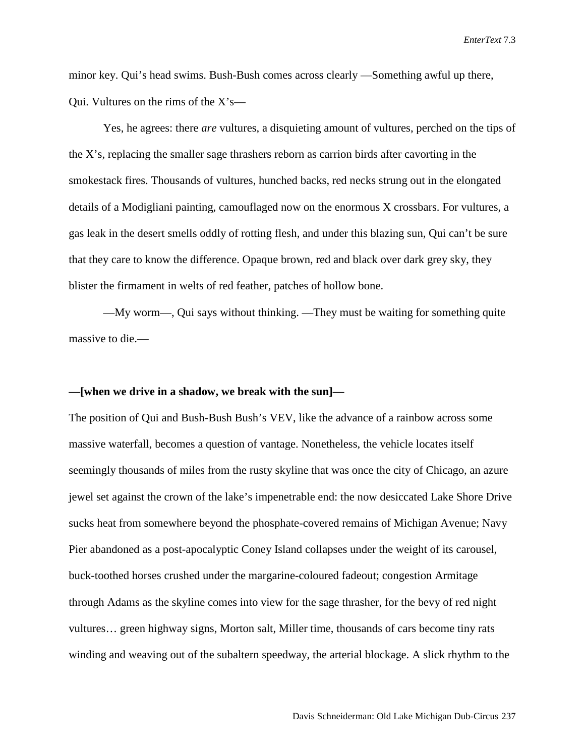minor key. Qui's head swims. Bush-Bush comes across clearly —Something awful up there, Qui. Vultures on the rims of the X's—

Yes, he agrees: there *are* vultures, a disquieting amount of vultures, perched on the tips of the X's, replacing the smaller sage thrashers reborn as carrion birds after cavorting in the smokestack fires. Thousands of vultures, hunched backs, red necks strung out in the elongated details of a Modigliani painting, camouflaged now on the enormous X crossbars. For vultures, a gas leak in the desert smells oddly of rotting flesh, and under this blazing sun, Qui can't be sure that they care to know the difference. Opaque brown, red and black over dark grey sky, they blister the firmament in welts of red feather, patches of hollow bone.

—My worm—, Qui says without thinking. —They must be waiting for something quite massive to die.—

### **—[when we drive in a shadow, we break with the sun]—**

The position of Qui and Bush-Bush Bush's VEV, like the advance of a rainbow across some massive waterfall, becomes a question of vantage. Nonetheless, the vehicle locates itself seemingly thousands of miles from the rusty skyline that was once the city of Chicago, an azure jewel set against the crown of the lake's impenetrable end: the now desiccated Lake Shore Drive sucks heat from somewhere beyond the phosphate-covered remains of Michigan Avenue; Navy Pier abandoned as a post-apocalyptic Coney Island collapses under the weight of its carousel, buck-toothed horses crushed under the margarine-coloured fadeout; congestion Armitage through Adams as the skyline comes into view for the sage thrasher, for the bevy of red night vultures… green highway signs, Morton salt, Miller time, thousands of cars become tiny rats winding and weaving out of the subaltern speedway, the arterial blockage. A slick rhythm to the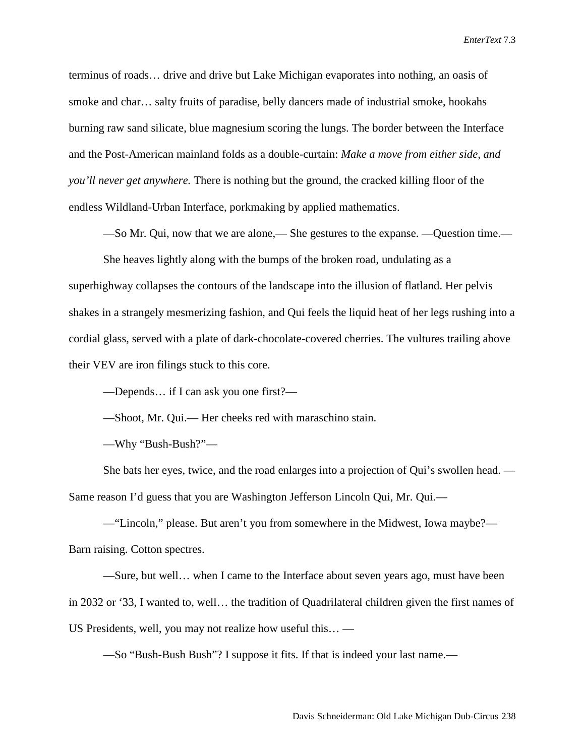terminus of roads… drive and drive but Lake Michigan evaporates into nothing, an oasis of smoke and char… salty fruits of paradise, belly dancers made of industrial smoke, hookahs burning raw sand silicate, blue magnesium scoring the lungs. The border between the Interface and the Post-American mainland folds as a double-curtain: *Make a move from either side, and you'll never get anywhere.* There is nothing but the ground, the cracked killing floor of the endless Wildland-Urban Interface, porkmaking by applied mathematics.

—So Mr. Qui, now that we are alone,— She gestures to the expanse. —Question time.—

She heaves lightly along with the bumps of the broken road, undulating as a superhighway collapses the contours of the landscape into the illusion of flatland. Her pelvis shakes in a strangely mesmerizing fashion, and Qui feels the liquid heat of her legs rushing into a cordial glass, served with a plate of dark-chocolate-covered cherries. The vultures trailing above their VEV are iron filings stuck to this core.

—Depends… if I can ask you one first?—

—Shoot, Mr. Qui.— Her cheeks red with maraschino stain.

—Why "Bush-Bush?"—

She bats her eyes, twice, and the road enlarges into a projection of Qui's swollen head. — Same reason I'd guess that you are Washington Jefferson Lincoln Qui, Mr. Qui.—

—"Lincoln," please. But aren't you from somewhere in the Midwest, Iowa maybe?— Barn raising. Cotton spectres.

—Sure, but well… when I came to the Interface about seven years ago, must have been in 2032 or '33, I wanted to, well… the tradition of Quadrilateral children given the first names of US Presidents, well, you may not realize how useful this… —

—So "Bush-Bush Bush"? I suppose it fits. If that is indeed your last name.—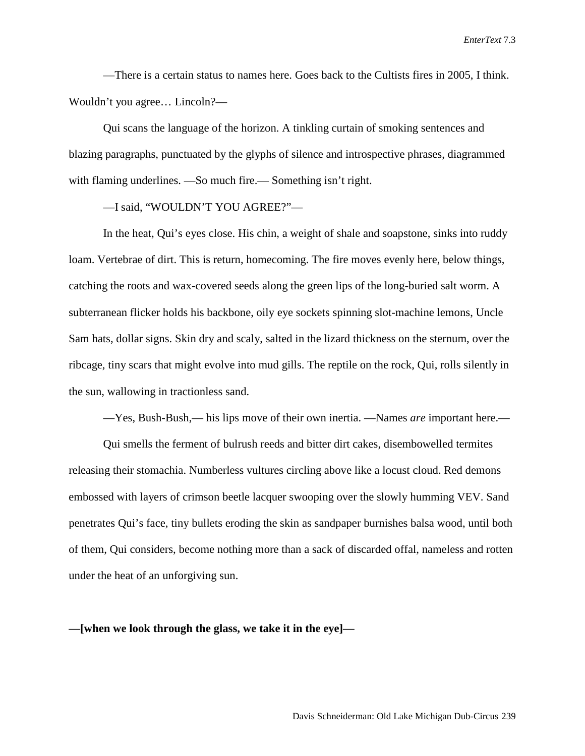—There is a certain status to names here. Goes back to the Cultists fires in 2005, I think. Wouldn't you agree… Lincoln?—

Qui scans the language of the horizon. A tinkling curtain of smoking sentences and blazing paragraphs, punctuated by the glyphs of silence and introspective phrases, diagrammed with flaming underlines. —So much fire.— Something isn't right.

—I said, "WOULDN'T YOU AGREE?"—

In the heat, Qui's eyes close. His chin, a weight of shale and soapstone, sinks into ruddy loam. Vertebrae of dirt. This is return, homecoming. The fire moves evenly here, below things, catching the roots and wax-covered seeds along the green lips of the long-buried salt worm. A subterranean flicker holds his backbone, oily eye sockets spinning slot-machine lemons, Uncle Sam hats, dollar signs. Skin dry and scaly, salted in the lizard thickness on the sternum, over the ribcage, tiny scars that might evolve into mud gills. The reptile on the rock, Qui, rolls silently in the sun, wallowing in tractionless sand.

—Yes, Bush-Bush,— his lips move of their own inertia. —Names *are* important here.—

Qui smells the ferment of bulrush reeds and bitter dirt cakes, disembowelled termites releasing their stomachia. Numberless vultures circling above like a locust cloud. Red demons embossed with layers of crimson beetle lacquer swooping over the slowly humming VEV. Sand penetrates Qui's face, tiny bullets eroding the skin as sandpaper burnishes balsa wood, until both of them, Qui considers, become nothing more than a sack of discarded offal, nameless and rotten under the heat of an unforgiving sun.

**—[when we look through the glass, we take it in the eye]—**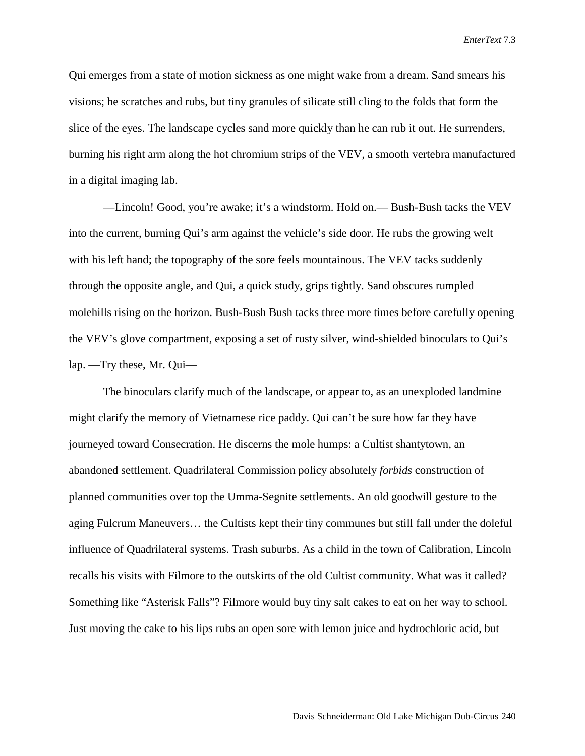Qui emerges from a state of motion sickness as one might wake from a dream. Sand smears his visions; he scratches and rubs, but tiny granules of silicate still cling to the folds that form the slice of the eyes. The landscape cycles sand more quickly than he can rub it out. He surrenders, burning his right arm along the hot chromium strips of the VEV, a smooth vertebra manufactured in a digital imaging lab.

—Lincoln! Good, you're awake; it's a windstorm. Hold on.— Bush-Bush tacks the VEV into the current, burning Qui's arm against the vehicle's side door. He rubs the growing welt with his left hand; the topography of the sore feels mountainous. The VEV tacks suddenly through the opposite angle, and Qui, a quick study, grips tightly. Sand obscures rumpled molehills rising on the horizon. Bush-Bush Bush tacks three more times before carefully opening the VEV's glove compartment, exposing a set of rusty silver, wind-shielded binoculars to Qui's lap. —Try these, Mr. Qui—

The binoculars clarify much of the landscape, or appear to, as an unexploded landmine might clarify the memory of Vietnamese rice paddy. Qui can't be sure how far they have journeyed toward Consecration. He discerns the mole humps: a Cultist shantytown, an abandoned settlement. Quadrilateral Commission policy absolutely *forbids* construction of planned communities over top the Umma-Segnite settlements. An old goodwill gesture to the aging Fulcrum Maneuvers… the Cultists kept their tiny communes but still fall under the doleful influence of Quadrilateral systems. Trash suburbs. As a child in the town of Calibration, Lincoln recalls his visits with Filmore to the outskirts of the old Cultist community. What was it called? Something like "Asterisk Falls"? Filmore would buy tiny salt cakes to eat on her way to school. Just moving the cake to his lips rubs an open sore with lemon juice and hydrochloric acid, but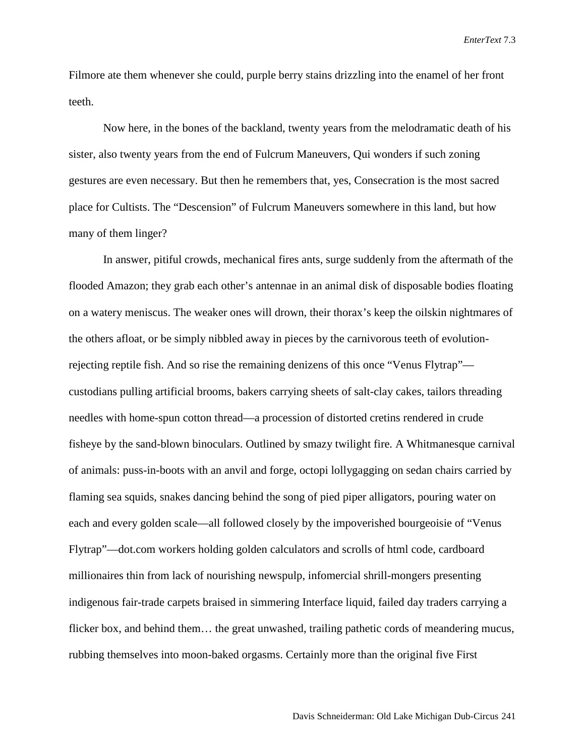Filmore ate them whenever she could, purple berry stains drizzling into the enamel of her front teeth.

Now here, in the bones of the backland, twenty years from the melodramatic death of his sister, also twenty years from the end of Fulcrum Maneuvers, Qui wonders if such zoning gestures are even necessary. But then he remembers that, yes, Consecration is the most sacred place for Cultists. The "Descension" of Fulcrum Maneuvers somewhere in this land, but how many of them linger?

In answer, pitiful crowds, mechanical fires ants, surge suddenly from the aftermath of the flooded Amazon; they grab each other's antennae in an animal disk of disposable bodies floating on a watery meniscus. The weaker ones will drown, their thorax's keep the oilskin nightmares of the others afloat, or be simply nibbled away in pieces by the carnivorous teeth of evolutionrejecting reptile fish. And so rise the remaining denizens of this once "Venus Flytrap" custodians pulling artificial brooms, bakers carrying sheets of salt-clay cakes, tailors threading needles with home-spun cotton thread—a procession of distorted cretins rendered in crude fisheye by the sand-blown binoculars. Outlined by smazy twilight fire. A Whitmanesque carnival of animals: puss-in-boots with an anvil and forge, octopi lollygagging on sedan chairs carried by flaming sea squids, snakes dancing behind the song of pied piper alligators, pouring water on each and every golden scale—all followed closely by the impoverished bourgeoisie of "Venus Flytrap"—dot.com workers holding golden calculators and scrolls of html code, cardboard millionaires thin from lack of nourishing newspulp, infomercial shrill-mongers presenting indigenous fair-trade carpets braised in simmering Interface liquid, failed day traders carrying a flicker box, and behind them... the great unwashed, trailing pathetic cords of meandering mucus, rubbing themselves into moon-baked orgasms. Certainly more than the original five First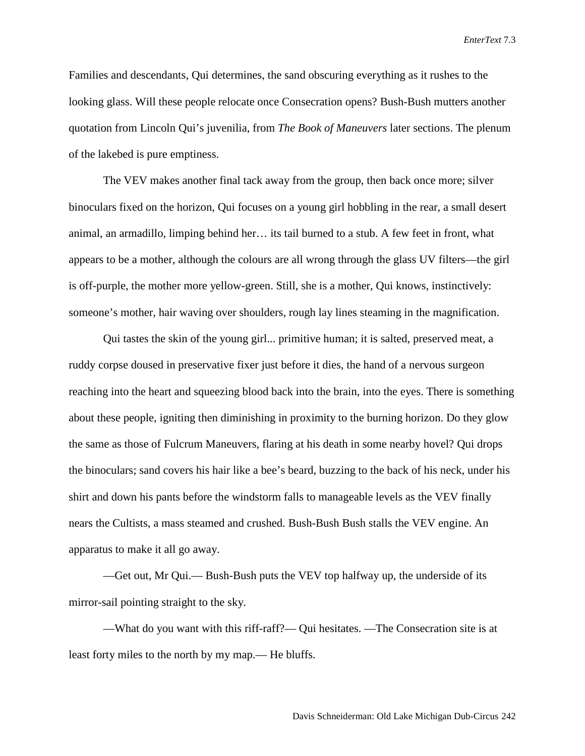Families and descendants, Qui determines, the sand obscuring everything as it rushes to the looking glass. Will these people relocate once Consecration opens? Bush-Bush mutters another quotation from Lincoln Qui's juvenilia, from *The Book of Maneuvers* later sections. The plenum of the lakebed is pure emptiness.

The VEV makes another final tack away from the group, then back once more; silver binoculars fixed on the horizon, Qui focuses on a young girl hobbling in the rear, a small desert animal, an armadillo, limping behind her… its tail burned to a stub. A few feet in front, what appears to be a mother, although the colours are all wrong through the glass UV filters—the girl is off-purple, the mother more yellow-green. Still, she is a mother, Qui knows, instinctively: someone's mother, hair waving over shoulders, rough lay lines steaming in the magnification.

Qui tastes the skin of the young girl... primitive human; it is salted, preserved meat, a ruddy corpse doused in preservative fixer just before it dies, the hand of a nervous surgeon reaching into the heart and squeezing blood back into the brain, into the eyes. There is something about these people, igniting then diminishing in proximity to the burning horizon. Do they glow the same as those of Fulcrum Maneuvers, flaring at his death in some nearby hovel? Qui drops the binoculars; sand covers his hair like a bee's beard, buzzing to the back of his neck, under his shirt and down his pants before the windstorm falls to manageable levels as the VEV finally nears the Cultists, a mass steamed and crushed. Bush-Bush Bush stalls the VEV engine. An apparatus to make it all go away.

—Get out, Mr Qui.— Bush-Bush puts the VEV top halfway up, the underside of its mirror-sail pointing straight to the sky.

—What do you want with this riff-raff?— Qui hesitates. —The Consecration site is at least forty miles to the north by my map.— He bluffs.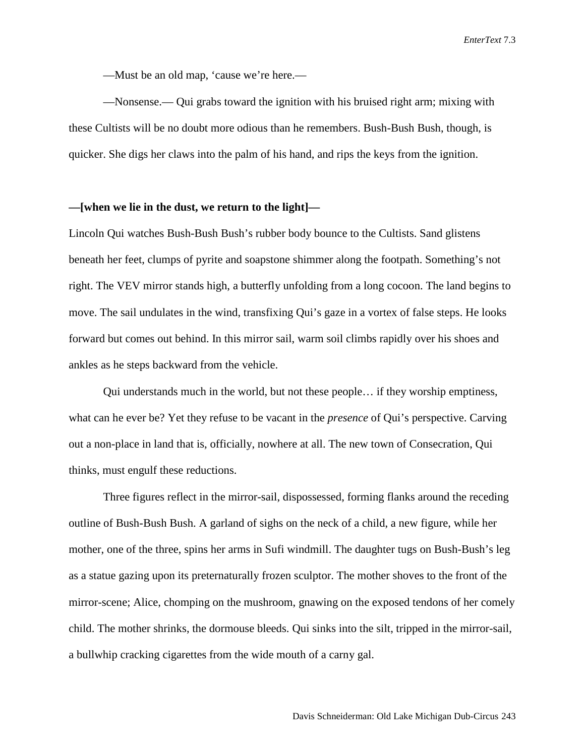—Must be an old map, 'cause we're here.—

—Nonsense.— Qui grabs toward the ignition with his bruised right arm; mixing with these Cultists will be no doubt more odious than he remembers. Bush-Bush Bush, though, is quicker. She digs her claws into the palm of his hand, and rips the keys from the ignition.

## **—[when we lie in the dust, we return to the light]—**

Lincoln Qui watches Bush-Bush Bush's rubber body bounce to the Cultists. Sand glistens beneath her feet, clumps of pyrite and soapstone shimmer along the footpath. Something's not right. The VEV mirror stands high, a butterfly unfolding from a long cocoon. The land begins to move. The sail undulates in the wind, transfixing Qui's gaze in a vortex of false steps. He looks forward but comes out behind. In this mirror sail, warm soil climbs rapidly over his shoes and ankles as he steps backward from the vehicle.

Qui understands much in the world, but not these people… if they worship emptiness, what can he ever be? Yet they refuse to be vacant in the *presence* of Qui's perspective. Carving out a non-place in land that is, officially, nowhere at all. The new town of Consecration, Qui thinks, must engulf these reductions.

Three figures reflect in the mirror-sail, dispossessed, forming flanks around the receding outline of Bush-Bush Bush. A garland of sighs on the neck of a child, a new figure, while her mother, one of the three, spins her arms in Sufi windmill. The daughter tugs on Bush-Bush's leg as a statue gazing upon its preternaturally frozen sculptor. The mother shoves to the front of the mirror-scene; Alice, chomping on the mushroom, gnawing on the exposed tendons of her comely child. The mother shrinks, the dormouse bleeds. Qui sinks into the silt, tripped in the mirror-sail, a bullwhip cracking cigarettes from the wide mouth of a carny gal.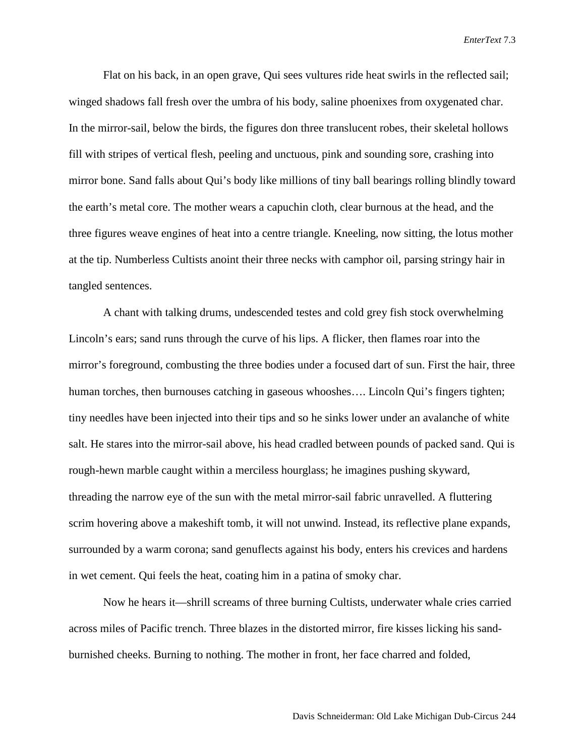Flat on his back, in an open grave, Qui sees vultures ride heat swirls in the reflected sail; winged shadows fall fresh over the umbra of his body, saline phoenixes from oxygenated char. In the mirror-sail, below the birds, the figures don three translucent robes, their skeletal hollows fill with stripes of vertical flesh, peeling and unctuous, pink and sounding sore, crashing into mirror bone. Sand falls about Qui's body like millions of tiny ball bearings rolling blindly toward the earth's metal core. The mother wears a capuchin cloth, clear burnous at the head, and the three figures weave engines of heat into a centre triangle. Kneeling, now sitting, the lotus mother at the tip. Numberless Cultists anoint their three necks with camphor oil, parsing stringy hair in tangled sentences.

A chant with talking drums, undescended testes and cold grey fish stock overwhelming Lincoln's ears; sand runs through the curve of his lips. A flicker, then flames roar into the mirror's foreground, combusting the three bodies under a focused dart of sun. First the hair, three human torches, then burnouses catching in gaseous whooshes.... Lincoln Qui's fingers tighten; tiny needles have been injected into their tips and so he sinks lower under an avalanche of white salt. He stares into the mirror-sail above, his head cradled between pounds of packed sand. Qui is rough-hewn marble caught within a merciless hourglass; he imagines pushing skyward, threading the narrow eye of the sun with the metal mirror-sail fabric unravelled. A fluttering scrim hovering above a makeshift tomb, it will not unwind. Instead, its reflective plane expands, surrounded by a warm corona; sand genuflects against his body, enters his crevices and hardens in wet cement. Qui feels the heat, coating him in a patina of smoky char.

Now he hears it—shrill screams of three burning Cultists, underwater whale cries carried across miles of Pacific trench. Three blazes in the distorted mirror, fire kisses licking his sandburnished cheeks. Burning to nothing. The mother in front, her face charred and folded,